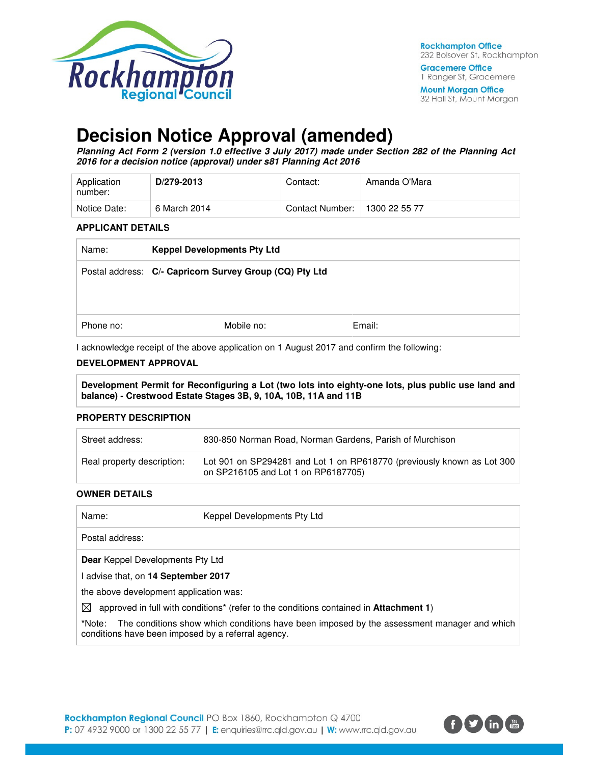

32 Hall St, Mount Morgan

# **Decision Notice Approval (amended)**

**Planning Act Form 2 (version 1.0 effective 3 July 2017) made under Section 282 of the Planning Act 2016 for a decision notice (approval) under s81 Planning Act 2016** 

| Application<br>number: | D/279-2013   | Contact:        | Amanda O'Mara |
|------------------------|--------------|-----------------|---------------|
| Notice Date:           | 6 March 2014 | Contact Number: | 1300 22 55 77 |

#### **APPLICANT DETAILS**

| Name:     | <b>Keppel Developments Pty Ltd</b>                      |        |  |
|-----------|---------------------------------------------------------|--------|--|
|           | Postal address: C/- Capricorn Survey Group (CQ) Pty Ltd |        |  |
|           |                                                         |        |  |
|           |                                                         |        |  |
| Phone no: | Mobile no:                                              | Email: |  |
|           |                                                         |        |  |

I acknowledge receipt of the above application on 1 August 2017 and confirm the following:

#### **DEVELOPMENT APPROVAL**

**Development Permit for Reconfiguring a Lot (two lots into eighty-one lots, plus public use land and balance) - Crestwood Estate Stages 3B, 9, 10A, 10B, 11A and 11B** 

#### **PROPERTY DESCRIPTION**

| Street address:            | 830-850 Norman Road, Norman Gardens, Parish of Murchison                                                      |
|----------------------------|---------------------------------------------------------------------------------------------------------------|
| Real property description: | Lot 901 on SP294281 and Lot 1 on RP618770 (previously known as Lot 300<br>on SP216105 and Lot 1 on RP6187705) |

#### **OWNER DETAILS**

| Name:                                                        | Keppel Developments Pty Ltd                                                                              |
|--------------------------------------------------------------|----------------------------------------------------------------------------------------------------------|
| Postal address:                                              |                                                                                                          |
| <b>Dear</b> Keppel Developments Pty Ltd                      |                                                                                                          |
| I advise that, on 14 September 2017                          |                                                                                                          |
| the above development application was:                       |                                                                                                          |
| ⊠                                                            | approved in full with conditions <sup>*</sup> (refer to the conditions contained in <b>Attachment 1)</b> |
| *Note:<br>conditions have been imposed by a referral agency. | The conditions show which conditions have been imposed by the assessment manager and which               |

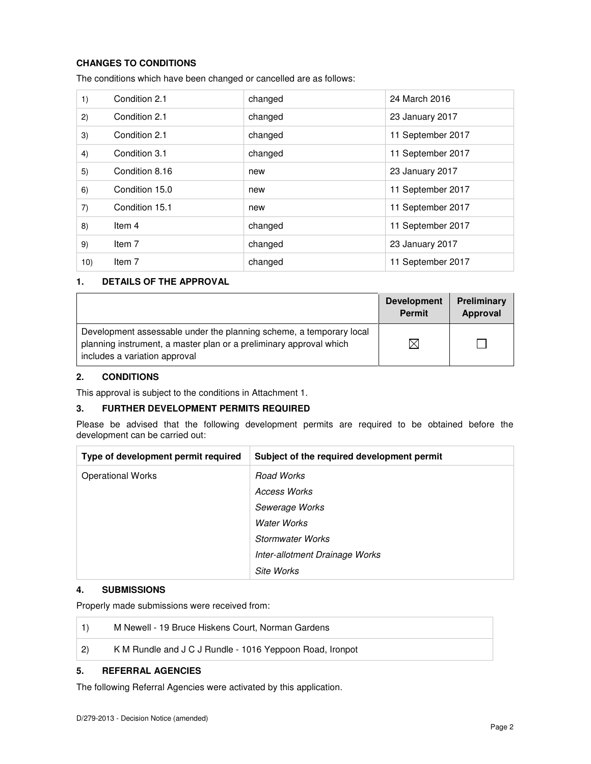### **CHANGES TO CONDITIONS**

The conditions which have been changed or cancelled are as follows:

| 1)  | Condition 2.1  | changed | 24 March 2016     |
|-----|----------------|---------|-------------------|
| 2)  | Condition 2.1  | changed | 23 January 2017   |
| 3)  | Condition 2.1  | changed | 11 September 2017 |
| 4)  | Condition 3.1  | changed | 11 September 2017 |
| 5)  | Condition 8.16 | new     | 23 January 2017   |
| 6)  | Condition 15.0 | new     | 11 September 2017 |
| 7)  | Condition 15.1 | new     | 11 September 2017 |
| 8)  | Item 4         | changed | 11 September 2017 |
| 9)  | Item 7         | changed | 23 January 2017   |
| 10) | Item 7         | changed | 11 September 2017 |

#### **1. DETAILS OF THE APPROVAL**

|                                                                                                                                                                            | <b>Development</b><br><b>Permit</b> | <b>Preliminary</b><br>Approval |
|----------------------------------------------------------------------------------------------------------------------------------------------------------------------------|-------------------------------------|--------------------------------|
| Development assessable under the planning scheme, a temporary local<br>planning instrument, a master plan or a preliminary approval which<br>includes a variation approval | $\boxtimes$                         |                                |

#### **2. CONDITIONS**

This approval is subject to the conditions in Attachment 1.

#### **3. FURTHER DEVELOPMENT PERMITS REQUIRED**

Please be advised that the following development permits are required to be obtained before the development can be carried out:

| Type of development permit required | Subject of the required development permit |
|-------------------------------------|--------------------------------------------|
| <b>Operational Works</b>            | Road Works                                 |
|                                     | Access Works                               |
|                                     | Sewerage Works                             |
|                                     | Water Works                                |
|                                     | Stormwater Works                           |
|                                     | Inter-allotment Drainage Works             |
|                                     | Site Works                                 |

#### **4. SUBMISSIONS**

Properly made submissions were received from:

|                  | M Newell - 19 Bruce Hiskens Court, Norman Gardens        |
|------------------|----------------------------------------------------------|
| $\vert 2\rangle$ | K M Rundle and J C J Rundle - 1016 Yeppoon Road, Ironpot |

# **5. REFERRAL AGENCIES**

The following Referral Agencies were activated by this application.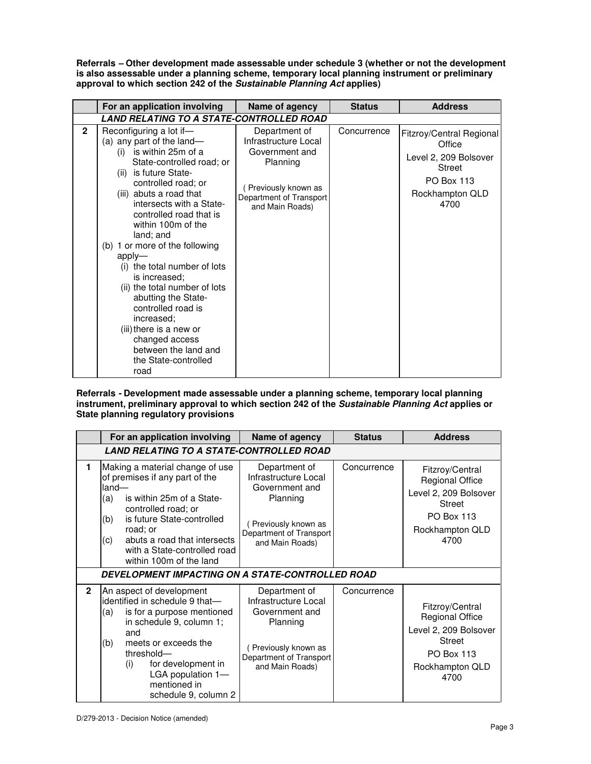**Referrals – Other development made assessable under schedule 3 (whether or not the development is also assessable under a planning scheme, temporary local planning instrument or preliminary approval to which section 242 of the Sustainable Planning Act applies)** 

|                | For an application involving                                                                                                                                                                                                                                                                                                                                                                                                                                                                                                                                                         | Name of agency                                                                                                                           | <b>Status</b> | <b>Address</b>                                                                                                               |
|----------------|--------------------------------------------------------------------------------------------------------------------------------------------------------------------------------------------------------------------------------------------------------------------------------------------------------------------------------------------------------------------------------------------------------------------------------------------------------------------------------------------------------------------------------------------------------------------------------------|------------------------------------------------------------------------------------------------------------------------------------------|---------------|------------------------------------------------------------------------------------------------------------------------------|
|                | LAND RELATING TO A STATE-CONTROLLED ROAD                                                                                                                                                                                                                                                                                                                                                                                                                                                                                                                                             |                                                                                                                                          |               |                                                                                                                              |
| $\overline{2}$ | Reconfiguring a lot if-<br>(a) any part of the land-<br>is within 25m of a<br>(i)<br>State-controlled road; or<br>is future State-<br>(ii)<br>controlled road; or<br>(iii) abuts a road that<br>intersects with a State-<br>controlled road that is<br>within 100m of the<br>land; and<br>(b) 1 or more of the following<br>apply-<br>(i) the total number of lots<br>is increased;<br>(ii) the total number of lots<br>abutting the State-<br>controlled road is<br>increased:<br>(iii) there is a new or<br>changed access<br>between the land and<br>the State-controlled<br>road | Department of<br>Infrastructure Local<br>Government and<br>Planning<br>Previously known as<br>Department of Transport<br>and Main Roads) | Concurrence   | Fitzroy/Central Regional<br>Office<br>Level 2, 209 Bolsover<br><b>Street</b><br><b>PO Box 113</b><br>Rockhampton QLD<br>4700 |

**Referrals - Development made assessable under a planning scheme, temporary local planning instrument, preliminary approval to which section 242 of the Sustainable Planning Act applies or State planning regulatory provisions** 

|                | For an application involving                                                                                                                                                                                                                                              | Name of agency                                                                                                                           | <b>Status</b> | <b>Address</b>                                                                                                                      |  |  |
|----------------|---------------------------------------------------------------------------------------------------------------------------------------------------------------------------------------------------------------------------------------------------------------------------|------------------------------------------------------------------------------------------------------------------------------------------|---------------|-------------------------------------------------------------------------------------------------------------------------------------|--|--|
|                | <b>LAND RELATING TO A STATE-CONTROLLED ROAD</b>                                                                                                                                                                                                                           |                                                                                                                                          |               |                                                                                                                                     |  |  |
| 1              | Making a material change of use<br>of premises if any part of the<br>$land-$<br>is within 25m of a State-<br>(a)<br>controlled road; or<br>is future State-controlled<br>(b)                                                                                              | Department of<br>Infrastructure Local<br>Government and<br>Planning<br>Previously known as                                               | Concurrence   | Fitzroy/Central<br><b>Regional Office</b><br>Level 2, 209 Bolsover<br><b>Street</b><br>PO Box 113                                   |  |  |
|                | road; or<br>abuts a road that intersects<br>(c)<br>with a State-controlled road<br>within 100m of the land                                                                                                                                                                | Department of Transport<br>and Main Roads)                                                                                               |               | Rockhampton QLD<br>4700                                                                                                             |  |  |
|                | DEVELOPMENT IMPACTING ON A STATE-CONTROLLED ROAD                                                                                                                                                                                                                          |                                                                                                                                          |               |                                                                                                                                     |  |  |
| $\overline{2}$ | An aspect of development<br>identified in schedule 9 that-<br>is for a purpose mentioned<br>(a)<br>in schedule 9, column 1;<br>and<br>meets or exceeds the<br>(b)<br>threshold-<br>for development in<br>(i)<br>LGA population 1-<br>mentioned in<br>schedule 9, column 2 | Department of<br>Infrastructure Local<br>Government and<br>Planning<br>Previously known as<br>Department of Transport<br>and Main Roads) | Concurrence   | Fitzroy/Central<br><b>Regional Office</b><br>Level 2, 209 Bolsover<br><b>Street</b><br><b>PO Box 113</b><br>Rockhampton QLD<br>4700 |  |  |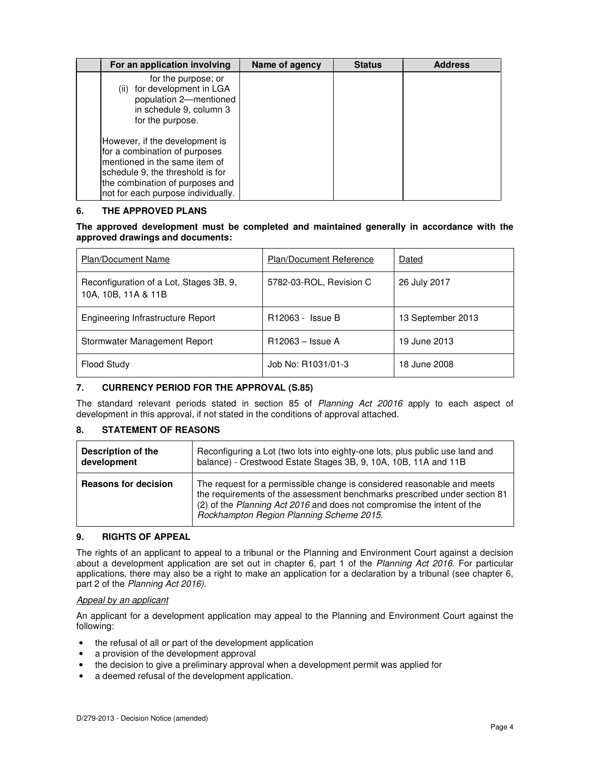| For an application involving                                                                                                                                                                                  | Name of agency | <b>Status</b> | <b>Address</b> |
|---------------------------------------------------------------------------------------------------------------------------------------------------------------------------------------------------------------|----------------|---------------|----------------|
| for the purpose; or<br>for development in LGA<br>(ii)<br>population 2-mentioned<br>in schedule 9, column 3<br>for the purpose.                                                                                |                |               |                |
| However, if the development is<br>for a combination of purposes<br>mentioned in the same item of<br>schedule 9, the threshold is for<br>the combination of purposes and<br>not for each purpose individually. |                |               |                |

#### **6. THE APPROVED PLANS**

#### **The approved development must be completed and maintained generally in accordance with the approved drawings and documents:**

| Plan/Document Name                                             | <b>Plan/Document Reference</b> | Dated             |
|----------------------------------------------------------------|--------------------------------|-------------------|
| Reconfiguration of a Lot, Stages 3B, 9,<br>10A, 10B, 11A & 11B | 5782-03-ROL, Revision C        | 26 July 2017      |
| Engineering Infrastructure Report                              | R12063 - Issue B               | 13 September 2013 |
| Stormwater Management Report                                   | R12063 – Issue A               | 19 June 2013      |
| <b>Flood Study</b>                                             | Job No: R1031/01-3             | 18 June 2008      |

#### **7. CURRENCY PERIOD FOR THE APPROVAL (S.85)**

The standard relevant periods stated in section 85 of Planning Act 20016 apply to each aspect of development in this approval, if not stated in the conditions of approval attached.

#### **8. STATEMENT OF REASONS**

| <b>Description of the</b>   | Reconfiguring a Lot (two lots into eighty-one lots, plus public use land and                                                                                                                                                                                               |
|-----------------------------|----------------------------------------------------------------------------------------------------------------------------------------------------------------------------------------------------------------------------------------------------------------------------|
| development                 | balance) - Crestwood Estate Stages 3B, 9, 10A, 10B, 11A and 11B                                                                                                                                                                                                            |
| <b>Reasons for decision</b> | The request for a permissible change is considered reasonable and meets<br>the requirements of the assessment benchmarks prescribed under section 81<br>(2) of the Planning Act 2016 and does not compromise the intent of the<br>Rockhampton Region Planning Scheme 2015. |

#### **9. RIGHTS OF APPEAL**

The rights of an applicant to appeal to a tribunal or the Planning and Environment Court against a decision about a development application are set out in chapter 6, part 1 of the Planning Act 2016. For particular applications, there may also be a right to make an application for a declaration by a tribunal (see chapter 6, part 2 of the Planning Act 2016).

#### Appeal by an applicant

An applicant for a development application may appeal to the Planning and Environment Court against the following:

- the refusal of all or part of the development application
- a provision of the development approval
- the decision to give a preliminary approval when a development permit was applied for
- a deemed refusal of the development application.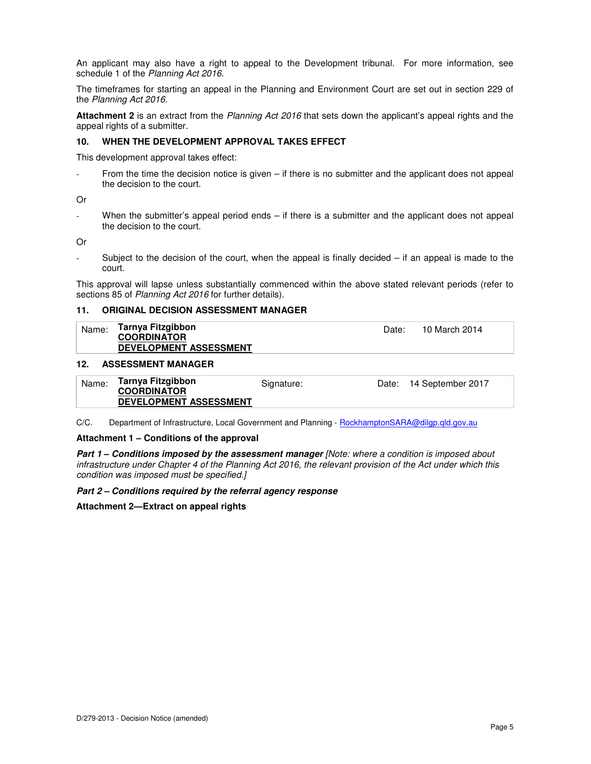An applicant may also have a right to appeal to the Development tribunal. For more information, see schedule 1 of the Planning Act 2016.

The timeframes for starting an appeal in the Planning and Environment Court are set out in section 229 of the Planning Act 2016.

**Attachment 2** is an extract from the Planning Act 2016 that sets down the applicant's appeal rights and the appeal rights of a submitter.

#### **10. WHEN THE DEVELOPMENT APPROVAL TAKES EFFECT**

This development approval takes effect:

From the time the decision notice is given  $-$  if there is no submitter and the applicant does not appeal the decision to the court.

Or

When the submitter's appeal period ends  $-$  if there is a submitter and the applicant does not appeal the decision to the court.

Or

Subject to the decision of the court, when the appeal is finally decided  $-$  if an appeal is made to the court.

This approval will lapse unless substantially commenced within the above stated relevant periods (refer to sections 85 of Planning Act 2016 for further details).

#### **11. ORIGINAL DECISION ASSESSMENT MANAGER**

| Name: | Tarnya Fitzgibbon             | Date: | 10 March 2014 |
|-------|-------------------------------|-------|---------------|
|       | <b>COORDINATOR</b>            |       |               |
|       | <b>DEVELOPMENT ASSESSMENT</b> |       |               |
|       |                               |       |               |

#### **12. ASSESSMENT MANAGER**

| Name: | Tarnya Fitzgibbon<br><b>COORDINATOR</b> | Signature: | Date: 14 September 2017 |
|-------|-----------------------------------------|------------|-------------------------|
|       | <b>DEVELOPMENT ASSESSMENT</b>           |            |                         |

C/C. Department of Infrastructure, Local Government and Planning - RockhamptonSARA@dilgp.qld.gov.au

#### **Attachment 1 – Conditions of the approval**

**Part 1 – Conditions imposed by the assessment manager** [Note: where a condition is imposed about infrastructure under Chapter 4 of the Planning Act 2016, the relevant provision of the Act under which this condition was imposed must be specified.]

#### **Part 2 – Conditions required by the referral agency response**

**Attachment 2—Extract on appeal rights**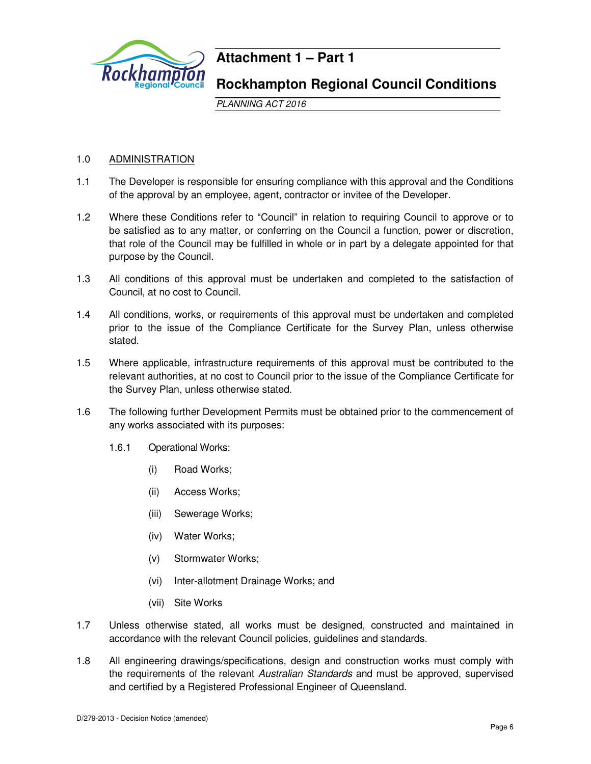

# **Attachment 1 – Part 1**

# **Rockhampton Regional Council Conditions**

PLANNING ACT 2016

# 1.0 ADMINISTRATION

- 1.1 The Developer is responsible for ensuring compliance with this approval and the Conditions of the approval by an employee, agent, contractor or invitee of the Developer.
- 1.2 Where these Conditions refer to "Council" in relation to requiring Council to approve or to be satisfied as to any matter, or conferring on the Council a function, power or discretion, that role of the Council may be fulfilled in whole or in part by a delegate appointed for that purpose by the Council.
- 1.3 All conditions of this approval must be undertaken and completed to the satisfaction of Council, at no cost to Council.
- 1.4 All conditions, works, or requirements of this approval must be undertaken and completed prior to the issue of the Compliance Certificate for the Survey Plan, unless otherwise stated.
- 1.5 Where applicable, infrastructure requirements of this approval must be contributed to the relevant authorities, at no cost to Council prior to the issue of the Compliance Certificate for the Survey Plan, unless otherwise stated.
- 1.6 The following further Development Permits must be obtained prior to the commencement of any works associated with its purposes:
	- 1.6.1 Operational Works:
		- (i) Road Works;
		- (ii) Access Works;
		- (iii) Sewerage Works;
		- (iv) Water Works;
		- (v) Stormwater Works;
		- (vi) Inter-allotment Drainage Works; and
		- (vii) Site Works
- 1.7 Unless otherwise stated, all works must be designed, constructed and maintained in accordance with the relevant Council policies, guidelines and standards.
- 1.8 All engineering drawings/specifications, design and construction works must comply with the requirements of the relevant Australian Standards and must be approved, supervised and certified by a Registered Professional Engineer of Queensland.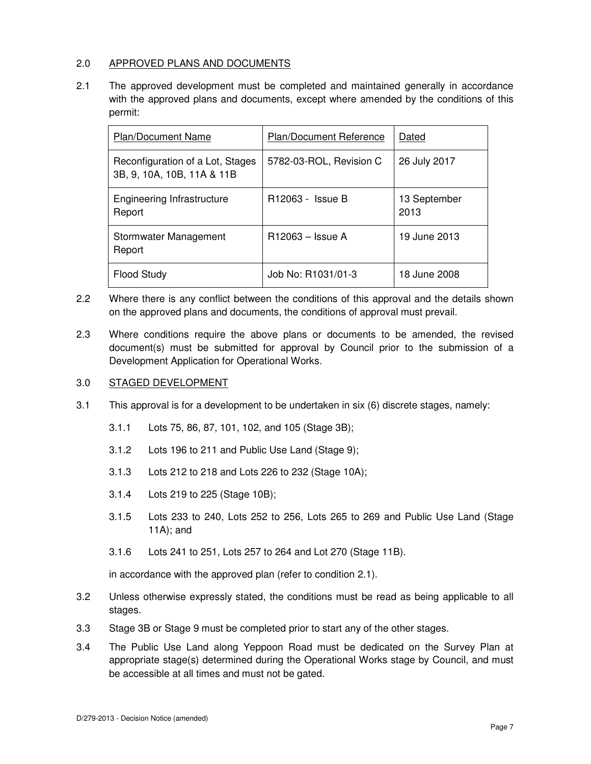# 2.0 APPROVED PLANS AND DOCUMENTS

2.1 The approved development must be completed and maintained generally in accordance with the approved plans and documents, except where amended by the conditions of this permit:

| <b>Plan/Document Name</b>                                      | <b>Plan/Document Reference</b> | Dated                |
|----------------------------------------------------------------|--------------------------------|----------------------|
| Reconfiguration of a Lot, Stages<br>3B, 9, 10A, 10B, 11A & 11B | 5782-03-ROL, Revision C        | 26 July 2017         |
| Engineering Infrastructure<br>Report                           | R12063 - Issue B               | 13 September<br>2013 |
| Stormwater Management<br>Report                                | R12063 – Issue A               | 19 June 2013         |
| <b>Flood Study</b>                                             | Job No: R1031/01-3             | 18 June 2008         |

- 2.2 Where there is any conflict between the conditions of this approval and the details shown on the approved plans and documents, the conditions of approval must prevail.
- 2.3 Where conditions require the above plans or documents to be amended, the revised document(s) must be submitted for approval by Council prior to the submission of a Development Application for Operational Works.

# 3.0 STAGED DEVELOPMENT

- 3.1 This approval is for a development to be undertaken in six (6) discrete stages, namely:
	- 3.1.1 Lots 75, 86, 87, 101, 102, and 105 (Stage 3B);
	- 3.1.2 Lots 196 to 211 and Public Use Land (Stage 9);
	- 3.1.3 Lots 212 to 218 and Lots 226 to 232 (Stage 10A);
	- 3.1.4 Lots 219 to 225 (Stage 10B);
	- 3.1.5 Lots 233 to 240, Lots 252 to 256, Lots 265 to 269 and Public Use Land (Stage 11A); and
	- 3.1.6 Lots 241 to 251, Lots 257 to 264 and Lot 270 (Stage 11B).

in accordance with the approved plan (refer to condition 2.1).

- 3.2 Unless otherwise expressly stated, the conditions must be read as being applicable to all stages.
- 3.3 Stage 3B or Stage 9 must be completed prior to start any of the other stages.
- 3.4 The Public Use Land along Yeppoon Road must be dedicated on the Survey Plan at appropriate stage(s) determined during the Operational Works stage by Council, and must be accessible at all times and must not be gated.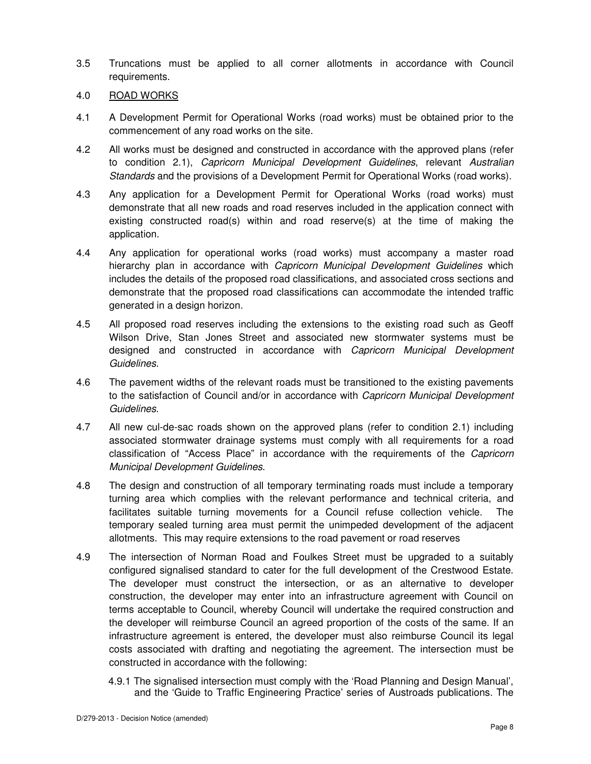- 3.5 Truncations must be applied to all corner allotments in accordance with Council requirements.
- 4.0 ROAD WORKS
- 4.1 A Development Permit for Operational Works (road works) must be obtained prior to the commencement of any road works on the site.
- 4.2 All works must be designed and constructed in accordance with the approved plans (refer to condition 2.1), Capricorn Municipal Development Guidelines, relevant Australian Standards and the provisions of a Development Permit for Operational Works (road works).
- 4.3 Any application for a Development Permit for Operational Works (road works) must demonstrate that all new roads and road reserves included in the application connect with existing constructed road(s) within and road reserve(s) at the time of making the application.
- 4.4 Any application for operational works (road works) must accompany a master road hierarchy plan in accordance with Capricorn Municipal Development Guidelines which includes the details of the proposed road classifications, and associated cross sections and demonstrate that the proposed road classifications can accommodate the intended traffic generated in a design horizon.
- 4.5 All proposed road reserves including the extensions to the existing road such as Geoff Wilson Drive, Stan Jones Street and associated new stormwater systems must be designed and constructed in accordance with Capricorn Municipal Development Guidelines.
- 4.6 The pavement widths of the relevant roads must be transitioned to the existing pavements to the satisfaction of Council and/or in accordance with Capricorn Municipal Development Guidelines.
- 4.7 All new cul-de-sac roads shown on the approved plans (refer to condition 2.1) including associated stormwater drainage systems must comply with all requirements for a road classification of "Access Place" in accordance with the requirements of the Capricorn Municipal Development Guidelines.
- 4.8 The design and construction of all temporary terminating roads must include a temporary turning area which complies with the relevant performance and technical criteria, and facilitates suitable turning movements for a Council refuse collection vehicle. The temporary sealed turning area must permit the unimpeded development of the adjacent allotments. This may require extensions to the road pavement or road reserves
- 4.9 The intersection of Norman Road and Foulkes Street must be upgraded to a suitably configured signalised standard to cater for the full development of the Crestwood Estate. The developer must construct the intersection, or as an alternative to developer construction, the developer may enter into an infrastructure agreement with Council on terms acceptable to Council, whereby Council will undertake the required construction and the developer will reimburse Council an agreed proportion of the costs of the same. If an infrastructure agreement is entered, the developer must also reimburse Council its legal costs associated with drafting and negotiating the agreement. The intersection must be constructed in accordance with the following:
	- 4.9.1 The signalised intersection must comply with the 'Road Planning and Design Manual', and the 'Guide to Traffic Engineering Practice' series of Austroads publications. The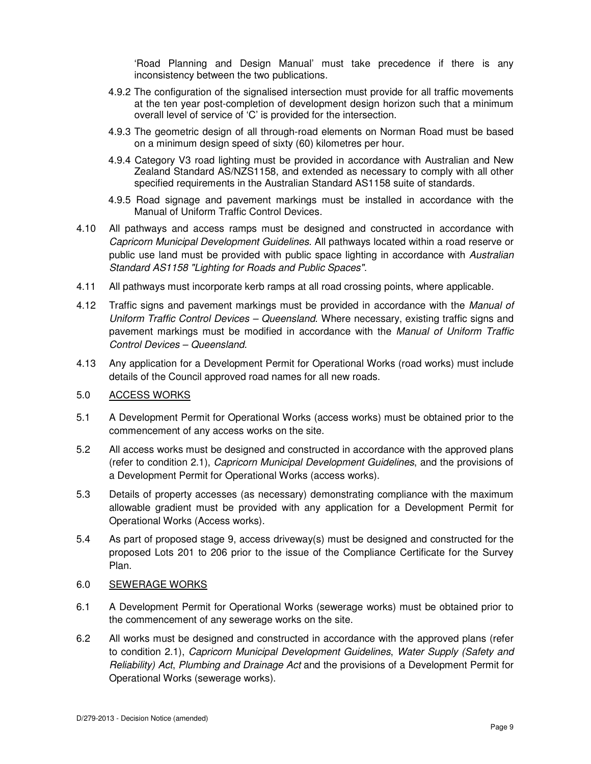'Road Planning and Design Manual' must take precedence if there is any inconsistency between the two publications.

- 4.9.2 The configuration of the signalised intersection must provide for all traffic movements at the ten year post-completion of development design horizon such that a minimum overall level of service of 'C' is provided for the intersection.
- 4.9.3 The geometric design of all through-road elements on Norman Road must be based on a minimum design speed of sixty (60) kilometres per hour.
- 4.9.4 Category V3 road lighting must be provided in accordance with Australian and New Zealand Standard AS/NZS1158, and extended as necessary to comply with all other specified requirements in the Australian Standard AS1158 suite of standards.
- 4.9.5 Road signage and pavement markings must be installed in accordance with the Manual of Uniform Traffic Control Devices.
- 4.10 All pathways and access ramps must be designed and constructed in accordance with Capricorn Municipal Development Guidelines. All pathways located within a road reserve or public use land must be provided with public space lighting in accordance with Australian Standard AS1158 "Lighting for Roads and Public Spaces".
- 4.11 All pathways must incorporate kerb ramps at all road crossing points, where applicable.
- 4.12 Traffic signs and pavement markings must be provided in accordance with the Manual of Uniform Traffic Control Devices – Queensland. Where necessary, existing traffic signs and pavement markings must be modified in accordance with the Manual of Uniform Traffic Control Devices – Queensland.
- 4.13 Any application for a Development Permit for Operational Works (road works) must include details of the Council approved road names for all new roads.

#### 5.0 ACCESS WORKS

- 5.1 A Development Permit for Operational Works (access works) must be obtained prior to the commencement of any access works on the site.
- 5.2 All access works must be designed and constructed in accordance with the approved plans (refer to condition 2.1), Capricorn Municipal Development Guidelines, and the provisions of a Development Permit for Operational Works (access works).
- 5.3 Details of property accesses (as necessary) demonstrating compliance with the maximum allowable gradient must be provided with any application for a Development Permit for Operational Works (Access works).
- 5.4 As part of proposed stage 9, access driveway(s) must be designed and constructed for the proposed Lots 201 to 206 prior to the issue of the Compliance Certificate for the Survey Plan.

# 6.0 SEWERAGE WORKS

- 6.1 A Development Permit for Operational Works (sewerage works) must be obtained prior to the commencement of any sewerage works on the site.
- 6.2 All works must be designed and constructed in accordance with the approved plans (refer to condition 2.1), Capricorn Municipal Development Guidelines, Water Supply (Safety and Reliability) Act, Plumbing and Drainage Act and the provisions of a Development Permit for Operational Works (sewerage works).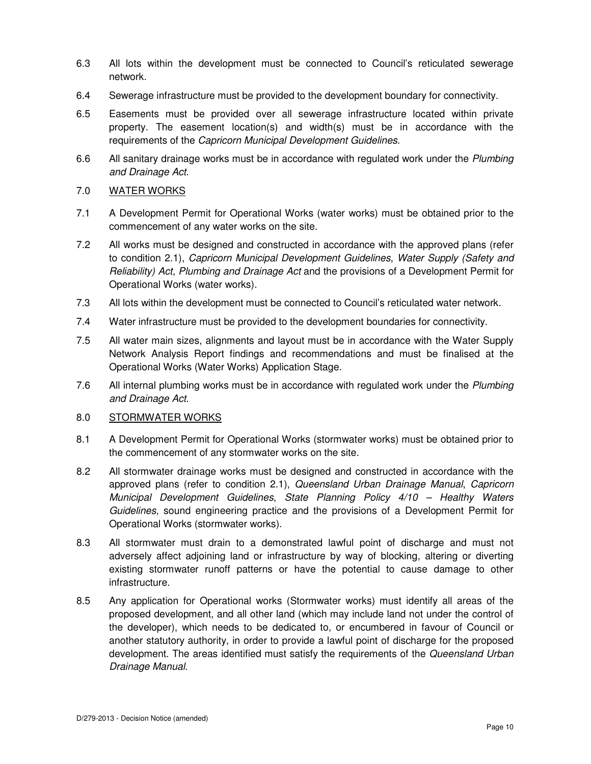- 6.3 All lots within the development must be connected to Council's reticulated sewerage network.
- 6.4 Sewerage infrastructure must be provided to the development boundary for connectivity.
- 6.5 Easements must be provided over all sewerage infrastructure located within private property. The easement location(s) and width(s) must be in accordance with the requirements of the Capricorn Municipal Development Guidelines.
- 6.6 All sanitary drainage works must be in accordance with regulated work under the Plumbing and Drainage Act.

# 7.0 WATER WORKS

- 7.1 A Development Permit for Operational Works (water works) must be obtained prior to the commencement of any water works on the site.
- 7.2 All works must be designed and constructed in accordance with the approved plans (refer to condition 2.1), Capricorn Municipal Development Guidelines, Water Supply (Safety and Reliability) Act, Plumbing and Drainage Act and the provisions of a Development Permit for Operational Works (water works).
- 7.3 All lots within the development must be connected to Council's reticulated water network.
- 7.4 Water infrastructure must be provided to the development boundaries for connectivity.
- 7.5 All water main sizes, alignments and layout must be in accordance with the Water Supply Network Analysis Report findings and recommendations and must be finalised at the Operational Works (Water Works) Application Stage.
- 7.6 All internal plumbing works must be in accordance with regulated work under the Plumbing and Drainage Act.

#### 8.0 STORMWATER WORKS

- 8.1 A Development Permit for Operational Works (stormwater works) must be obtained prior to the commencement of any stormwater works on the site.
- 8.2 All stormwater drainage works must be designed and constructed in accordance with the approved plans (refer to condition 2.1), Queensland Urban Drainage Manual, Capricorn Municipal Development Guidelines, State Planning Policy 4/10 – Healthy Waters Guidelines, sound engineering practice and the provisions of a Development Permit for Operational Works (stormwater works).
- 8.3 All stormwater must drain to a demonstrated lawful point of discharge and must not adversely affect adjoining land or infrastructure by way of blocking, altering or diverting existing stormwater runoff patterns or have the potential to cause damage to other infrastructure.
- 8.5 Any application for Operational works (Stormwater works) must identify all areas of the proposed development, and all other land (which may include land not under the control of the developer), which needs to be dedicated to, or encumbered in favour of Council or another statutory authority, in order to provide a lawful point of discharge for the proposed development. The areas identified must satisfy the requirements of the Queensland Urban Drainage Manual.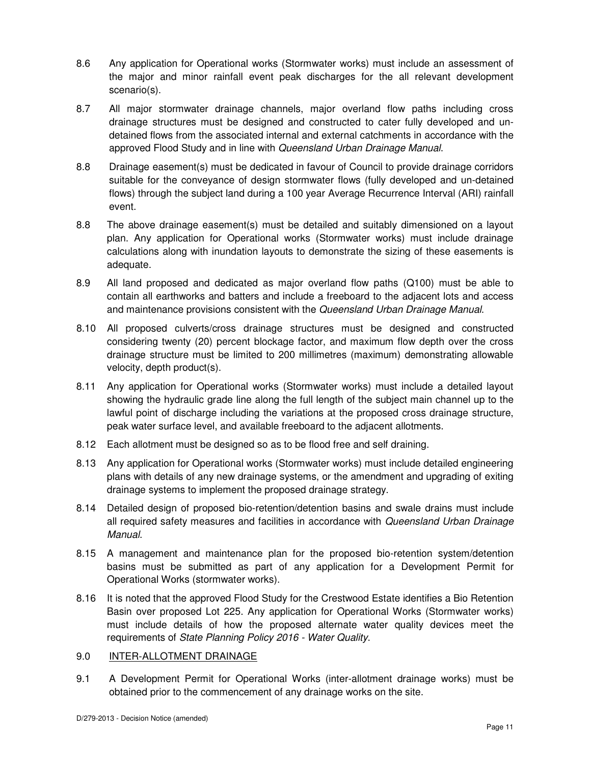- 8.6 Any application for Operational works (Stormwater works) must include an assessment of the major and minor rainfall event peak discharges for the all relevant development scenario(s).
- 8.7 All major stormwater drainage channels, major overland flow paths including cross drainage structures must be designed and constructed to cater fully developed and undetained flows from the associated internal and external catchments in accordance with the approved Flood Study and in line with Queensland Urban Drainage Manual.
- 8.8 Drainage easement(s) must be dedicated in favour of Council to provide drainage corridors suitable for the conveyance of design stormwater flows (fully developed and un-detained flows) through the subject land during a 100 year Average Recurrence Interval (ARI) rainfall event.
- 8.8 The above drainage easement(s) must be detailed and suitably dimensioned on a layout plan. Any application for Operational works (Stormwater works) must include drainage calculations along with inundation layouts to demonstrate the sizing of these easements is adequate.
- 8.9 All land proposed and dedicated as major overland flow paths (Q100) must be able to contain all earthworks and batters and include a freeboard to the adjacent lots and access and maintenance provisions consistent with the Queensland Urban Drainage Manual.
- 8.10 All proposed culverts/cross drainage structures must be designed and constructed considering twenty (20) percent blockage factor, and maximum flow depth over the cross drainage structure must be limited to 200 millimetres (maximum) demonstrating allowable velocity, depth product(s).
- 8.11 Any application for Operational works (Stormwater works) must include a detailed layout showing the hydraulic grade line along the full length of the subject main channel up to the lawful point of discharge including the variations at the proposed cross drainage structure, peak water surface level, and available freeboard to the adjacent allotments.
- 8.12 Each allotment must be designed so as to be flood free and self draining.
- 8.13 Any application for Operational works (Stormwater works) must include detailed engineering plans with details of any new drainage systems, or the amendment and upgrading of exiting drainage systems to implement the proposed drainage strategy.
- 8.14 Detailed design of proposed bio-retention/detention basins and swale drains must include all required safety measures and facilities in accordance with Queensland Urban Drainage Manual.
- 8.15 A management and maintenance plan for the proposed bio-retention system/detention basins must be submitted as part of any application for a Development Permit for Operational Works (stormwater works).
- 8.16 It is noted that the approved Flood Study for the Crestwood Estate identifies a Bio Retention Basin over proposed Lot 225. Any application for Operational Works (Stormwater works) must include details of how the proposed alternate water quality devices meet the requirements of State Planning Policy 2016 - Water Quality.

# 9.0 INTER-ALLOTMENT DRAINAGE

9.1 A Development Permit for Operational Works (inter-allotment drainage works) must be obtained prior to the commencement of any drainage works on the site.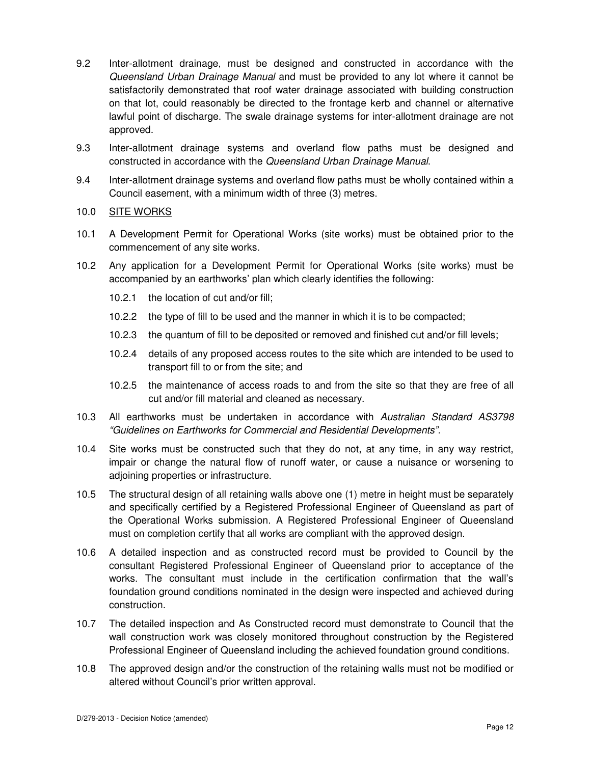- 9.2 Inter-allotment drainage, must be designed and constructed in accordance with the Queensland Urban Drainage Manual and must be provided to any lot where it cannot be satisfactorily demonstrated that roof water drainage associated with building construction on that lot, could reasonably be directed to the frontage kerb and channel or alternative lawful point of discharge. The swale drainage systems for inter-allotment drainage are not approved.
- 9.3 Inter-allotment drainage systems and overland flow paths must be designed and constructed in accordance with the Queensland Urban Drainage Manual.
- 9.4 Inter-allotment drainage systems and overland flow paths must be wholly contained within a Council easement, with a minimum width of three (3) metres.
- 10.0 SITE WORKS
- 10.1 A Development Permit for Operational Works (site works) must be obtained prior to the commencement of any site works.
- 10.2 Any application for a Development Permit for Operational Works (site works) must be accompanied by an earthworks' plan which clearly identifies the following:
	- 10.2.1 the location of cut and/or fill;
	- 10.2.2 the type of fill to be used and the manner in which it is to be compacted;
	- 10.2.3 the quantum of fill to be deposited or removed and finished cut and/or fill levels;
	- 10.2.4 details of any proposed access routes to the site which are intended to be used to transport fill to or from the site; and
	- 10.2.5 the maintenance of access roads to and from the site so that they are free of all cut and/or fill material and cleaned as necessary.
- 10.3 All earthworks must be undertaken in accordance with Australian Standard AS3798 "Guidelines on Earthworks for Commercial and Residential Developments".
- 10.4 Site works must be constructed such that they do not, at any time, in any way restrict, impair or change the natural flow of runoff water, or cause a nuisance or worsening to adjoining properties or infrastructure.
- 10.5 The structural design of all retaining walls above one (1) metre in height must be separately and specifically certified by a Registered Professional Engineer of Queensland as part of the Operational Works submission. A Registered Professional Engineer of Queensland must on completion certify that all works are compliant with the approved design.
- 10.6 A detailed inspection and as constructed record must be provided to Council by the consultant Registered Professional Engineer of Queensland prior to acceptance of the works. The consultant must include in the certification confirmation that the wall's foundation ground conditions nominated in the design were inspected and achieved during construction.
- 10.7 The detailed inspection and As Constructed record must demonstrate to Council that the wall construction work was closely monitored throughout construction by the Registered Professional Engineer of Queensland including the achieved foundation ground conditions.
- 10.8 The approved design and/or the construction of the retaining walls must not be modified or altered without Council's prior written approval.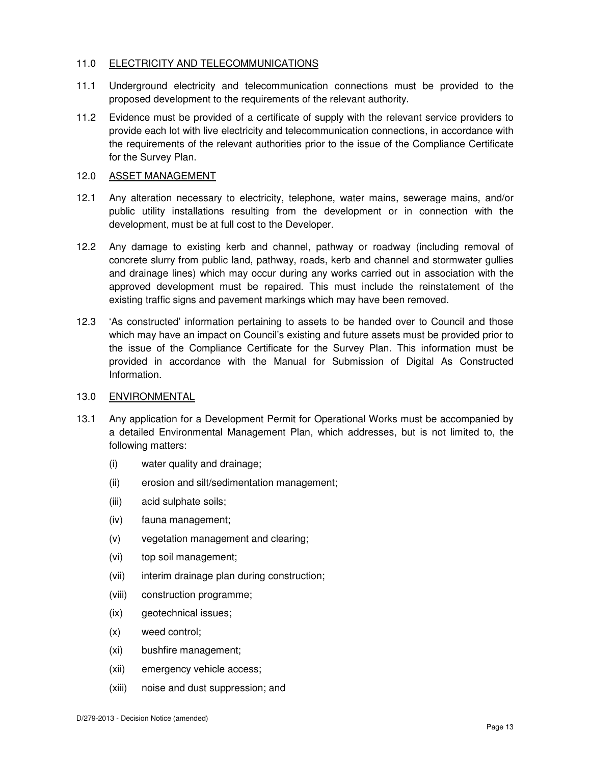# 11.0 ELECTRICITY AND TELECOMMUNICATIONS

- 11.1 Underground electricity and telecommunication connections must be provided to the proposed development to the requirements of the relevant authority.
- 11.2 Evidence must be provided of a certificate of supply with the relevant service providers to provide each lot with live electricity and telecommunication connections, in accordance with the requirements of the relevant authorities prior to the issue of the Compliance Certificate for the Survey Plan.

#### 12.0 ASSET MANAGEMENT

- 12.1 Any alteration necessary to electricity, telephone, water mains, sewerage mains, and/or public utility installations resulting from the development or in connection with the development, must be at full cost to the Developer.
- 12.2 Any damage to existing kerb and channel, pathway or roadway (including removal of concrete slurry from public land, pathway, roads, kerb and channel and stormwater gullies and drainage lines) which may occur during any works carried out in association with the approved development must be repaired. This must include the reinstatement of the existing traffic signs and pavement markings which may have been removed.
- 12.3 'As constructed' information pertaining to assets to be handed over to Council and those which may have an impact on Council's existing and future assets must be provided prior to the issue of the Compliance Certificate for the Survey Plan. This information must be provided in accordance with the Manual for Submission of Digital As Constructed Information.

#### 13.0 ENVIRONMENTAL

- 13.1 Any application for a Development Permit for Operational Works must be accompanied by a detailed Environmental Management Plan, which addresses, but is not limited to, the following matters:
	- (i) water quality and drainage;
	- (ii) erosion and silt/sedimentation management;
	- (iii) acid sulphate soils;
	- (iv) fauna management;
	- (v) vegetation management and clearing;
	- (vi) top soil management;
	- (vii) interim drainage plan during construction;
	- (viii) construction programme;
	- (ix) geotechnical issues;
	- (x) weed control;
	- (xi) bushfire management;
	- (xii) emergency vehicle access;
	- (xiii) noise and dust suppression; and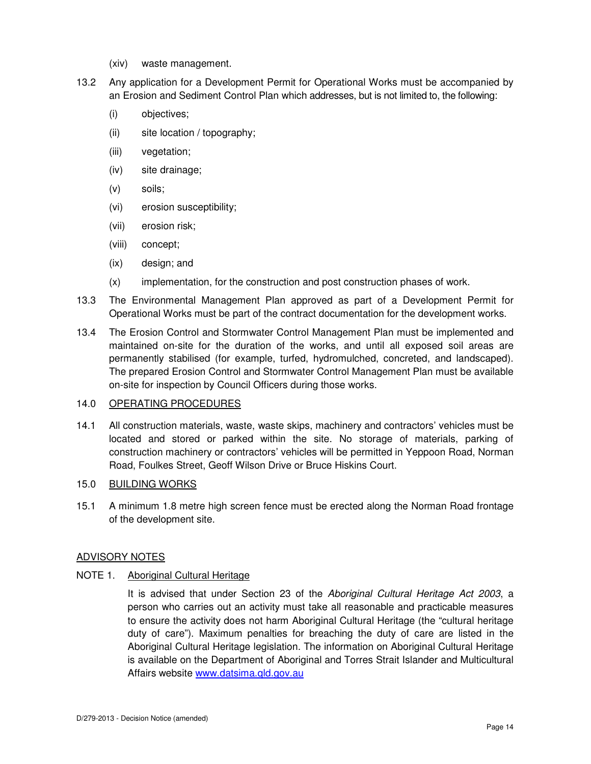- (xiv) waste management.
- 13.2 Any application for a Development Permit for Operational Works must be accompanied by an Erosion and Sediment Control Plan which addresses, but is not limited to, the following:
	- (i) objectives;
	- (ii) site location / topography;
	- (iii) vegetation;
	- (iv) site drainage;
	- (v) soils;
	- (vi) erosion susceptibility;
	- (vii) erosion risk;
	- (viii) concept;
	- (ix) design; and
	- (x) implementation, for the construction and post construction phases of work.
- 13.3 The Environmental Management Plan approved as part of a Development Permit for Operational Works must be part of the contract documentation for the development works.
- 13.4 The Erosion Control and Stormwater Control Management Plan must be implemented and maintained on-site for the duration of the works, and until all exposed soil areas are permanently stabilised (for example, turfed, hydromulched, concreted, and landscaped). The prepared Erosion Control and Stormwater Control Management Plan must be available on-site for inspection by Council Officers during those works.

# 14.0 OPERATING PROCEDURES

14.1 All construction materials, waste, waste skips, machinery and contractors' vehicles must be located and stored or parked within the site. No storage of materials, parking of construction machinery or contractors' vehicles will be permitted in Yeppoon Road, Norman Road, Foulkes Street, Geoff Wilson Drive or Bruce Hiskins Court.

# 15.0 BUILDING WORKS

15.1 A minimum 1.8 metre high screen fence must be erected along the Norman Road frontage of the development site.

# ADVISORY NOTES

# NOTE 1. Aboriginal Cultural Heritage

It is advised that under Section 23 of the Aboriginal Cultural Heritage Act 2003, a person who carries out an activity must take all reasonable and practicable measures to ensure the activity does not harm Aboriginal Cultural Heritage (the "cultural heritage duty of care"). Maximum penalties for breaching the duty of care are listed in the Aboriginal Cultural Heritage legislation. The information on Aboriginal Cultural Heritage is available on the Department of Aboriginal and Torres Strait Islander and Multicultural Affairs website www.datsima.qld.gov.au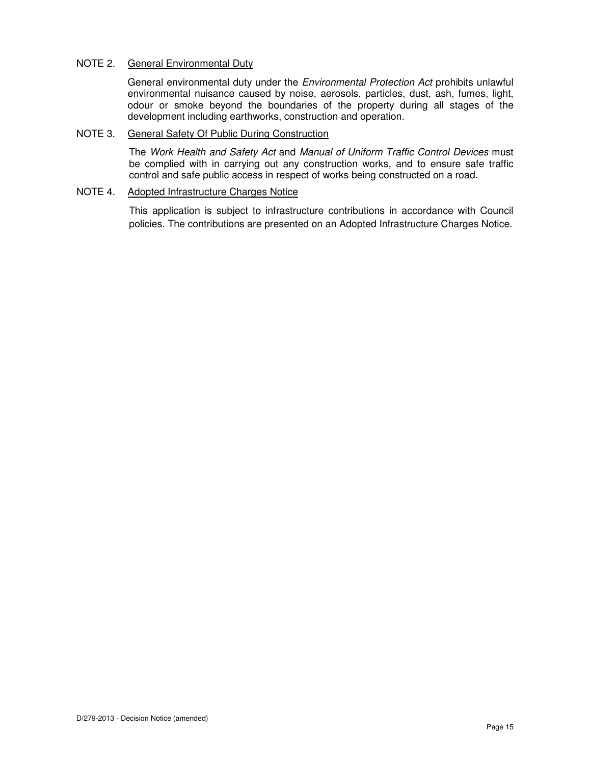## NOTE 2. General Environmental Duty

General environmental duty under the Environmental Protection Act prohibits unlawful environmental nuisance caused by noise, aerosols, particles, dust, ash, fumes, light, odour or smoke beyond the boundaries of the property during all stages of the development including earthworks, construction and operation.

### NOTE 3. General Safety Of Public During Construction

The Work Health and Safety Act and Manual of Uniform Traffic Control Devices must be complied with in carrying out any construction works, and to ensure safe traffic control and safe public access in respect of works being constructed on a road.

#### NOTE 4. Adopted Infrastructure Charges Notice

This application is subject to infrastructure contributions in accordance with Council policies. The contributions are presented on an Adopted Infrastructure Charges Notice.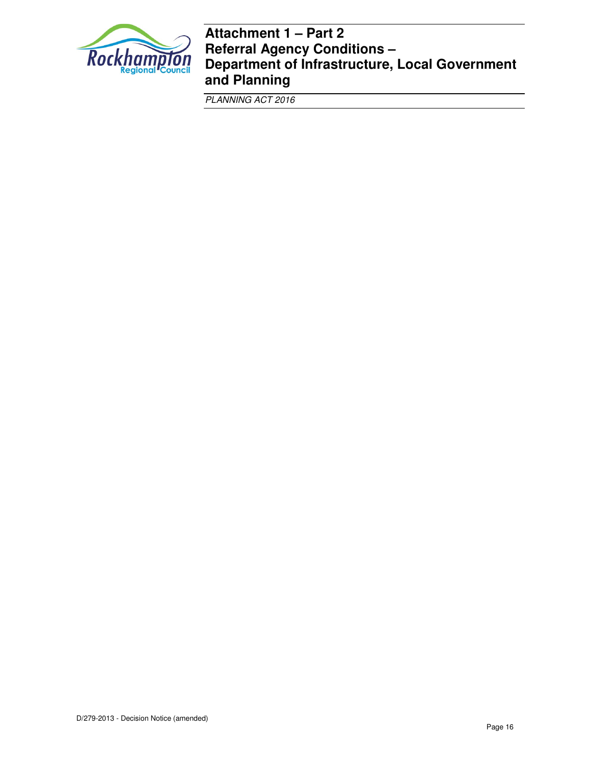

# **Attachment 1 – Part 2 Referral Agency Conditions – Department of Infrastructure, Local Government and Planning**

PLANNING ACT 2016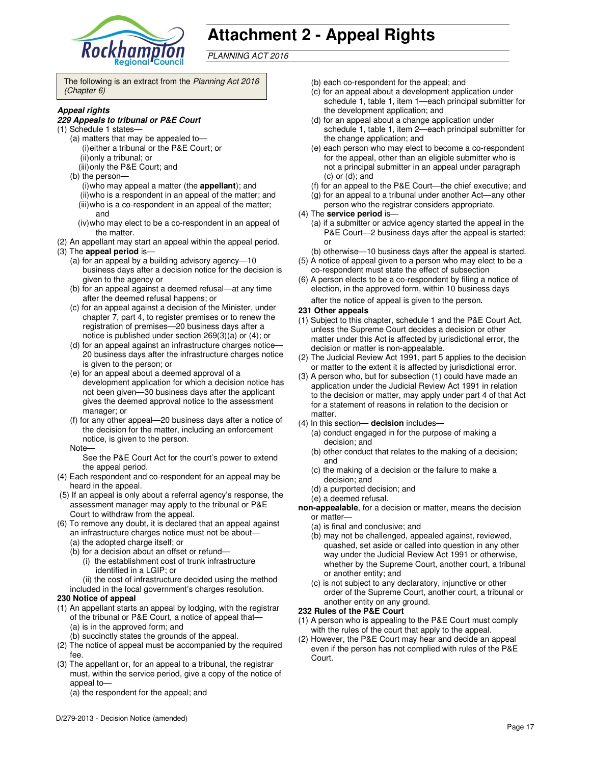

# **Attachment 2 - Appeal Rights**

PLANNING ACT 2016

The following is an extract from the Planning Act 2016 (Chapter 6)

#### **Appeal rights**

#### **229 Appeals to tribunal or P&E Court**

- (1) Schedule 1 states—
	- (a) matters that may be appealed to— (i) either a tribunal or the P&E Court; or (ii) only a tribunal; or (iii) only the P&E Court; and
	- (b) the person—
	- (i) who may appeal a matter (the **appellant**); and (ii) who is a respondent in an appeal of the matter; and (iii) who is a co-respondent in an appeal of the matter; and
	- (iv) who may elect to be a co-respondent in an appeal of the matter.
- (2) An appellant may start an appeal within the appeal period.
- (3) The **appeal period** is—
	- (a) for an appeal by a building advisory agency—10 business days after a decision notice for the decision is given to the agency or
	- (b) for an appeal against a deemed refusal—at any time after the deemed refusal happens; or
	- (c) for an appeal against a decision of the Minister, under chapter 7, part 4, to register premises or to renew the registration of premises—20 business days after a notice is published under section 269(3)(a) or (4); or
	- (d) for an appeal against an infrastructure charges notice— 20 business days after the infrastructure charges notice is given to the person; or
	- (e) for an appeal about a deemed approval of a development application for which a decision notice has not been given—30 business days after the applicant gives the deemed approval notice to the assessment manager; or
	- (f) for any other appeal—20 business days after a notice of the decision for the matter, including an enforcement notice, is given to the person.
	- Note—

See the P&E Court Act for the court's power to extend the appeal period.

- (4) Each respondent and co-respondent for an appeal may be heard in the appeal.
- (5) If an appeal is only about a referral agency's response, the assessment manager may apply to the tribunal or P&E Court to withdraw from the appeal.
- (6) To remove any doubt, it is declared that an appeal against an infrastructure charges notice must not be about—
	- (a) the adopted charge itself; or
	- (b) for a decision about an offset or refund—
		- (i) the establishment cost of trunk infrastructure identified in a LGIP; or
	- (ii) the cost of infrastructure decided using the method included in the local government's charges resolution.

#### **230 Notice of appeal**

- (1) An appellant starts an appeal by lodging, with the registrar of the tribunal or P&E Court, a notice of appeal that— (a) is in the approved form; and
	- (b) succinctly states the grounds of the appeal.
- (2) The notice of appeal must be accompanied by the required fee.
- (3) The appellant or, for an appeal to a tribunal, the registrar must, within the service period, give a copy of the notice of appeal to-

(a) the respondent for the appeal; and

- (b) each co-respondent for the appeal; and
- (c) for an appeal about a development application under schedule 1, table 1, item 1—each principal submitter for the development application; and
- (d) for an appeal about a change application under schedule 1, table 1, item 2—each principal submitter for the change application; and
- (e) each person who may elect to become a co-respondent for the appeal, other than an eligible submitter who is not a principal submitter in an appeal under paragraph  $(c)$  or  $(d)$ ; and
- (f) for an appeal to the P&E Court—the chief executive; and
- (g) for an appeal to a tribunal under another Act—any other person who the registrar considers appropriate.
- (4) The **service period** is—
	- (a) if a submitter or advice agency started the appeal in the P&E Court—2 business days after the appeal is started; or
	- (b) otherwise—10 business days after the appeal is started.
- (5) A notice of appeal given to a person who may elect to be a co-respondent must state the effect of subsection
- (6) A person elects to be a co-respondent by filing a notice of election, in the approved form, within 10 business days after the notice of appeal is given to the person*.*

#### **231 Other appeals**

- (1) Subject to this chapter, schedule 1 and the P&E Court Act, unless the Supreme Court decides a decision or other matter under this Act is affected by jurisdictional error, the decision or matter is non-appealable.
- (2) The Judicial Review Act 1991, part 5 applies to the decision or matter to the extent it is affected by jurisdictional error.
- (3) A person who, but for subsection (1) could have made an application under the Judicial Review Act 1991 in relation to the decision or matter, may apply under part 4 of that Act for a statement of reasons in relation to the decision or matter.
- (4) In this section— **decision** includes—
	- (a) conduct engaged in for the purpose of making a decision; and
	- (b) other conduct that relates to the making of a decision; and
	- (c) the making of a decision or the failure to make a decision; and
	- (d) a purported decision; and
	- (e) a deemed refusal.

**non-appealable**, for a decision or matter, means the decision or matter—

- (a) is final and conclusive; and
- (b) may not be challenged, appealed against, reviewed, quashed, set aside or called into question in any other way under the Judicial Review Act 1991 or otherwise, whether by the Supreme Court, another court, a tribunal or another entity; and
- (c) is not subject to any declaratory, injunctive or other order of the Supreme Court, another court, a tribunal or another entity on any ground.

#### **232 Rules of the P&E Court**

- (1) A person who is appealing to the P&E Court must comply with the rules of the court that apply to the appeal.
- (2) However, the P&E Court may hear and decide an appeal even if the person has not complied with rules of the P&E Court.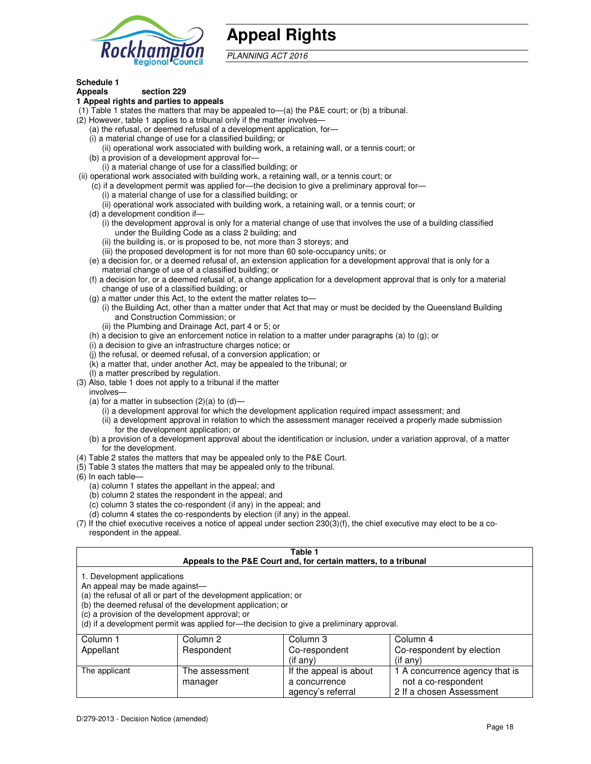

# **Appeal Rights**

PLANNING ACT 2016

# **Schedule 1**

#### **Appeals section 229 1 Appeal rights and parties to appeals**

- (1) Table 1 states the matters that may be appealed to—(a) the P&E court; or (b) a tribunal.
- (2) However, table 1 applies to a tribunal only if the matter involves—
	- (a) the refusal, or deemed refusal of a development application, for—
	- (i) a material change of use for a classified building; or
	- (ii) operational work associated with building work, a retaining wall, or a tennis court; or (b) a provision of a development approval for—
	- (i) a material change of use for a classified building; or
- (ii) operational work associated with building work, a retaining wall, or a tennis court; or
	- (c) if a development permit was applied for—the decision to give a preliminary approval for—
		- (i) a material change of use for a classified building; or
		- (ii) operational work associated with building work, a retaining wall, or a tennis court; or
	- (d) a development condition if—
		- (i) the development approval is only for a material change of use that involves the use of a building classified under the Building Code as a class 2 building; and
		- (ii) the building is, or is proposed to be, not more than 3 storeys; and
		- (iii) the proposed development is for not more than 60 sole-occupancy units; or
	- (e) a decision for, or a deemed refusal of, an extension application for a development approval that is only for a material change of use of a classified building; or
	- (f) a decision for, or a deemed refusal of, a change application for a development approval that is only for a material change of use of a classified building; or
	- (g) a matter under this Act, to the extent the matter relates to—
		- (i) the Building Act, other than a matter under that Act that may or must be decided by the Queensland Building and Construction Commission; or
		- (ii) the Plumbing and Drainage Act, part 4 or 5; or
	- (h) a decision to give an enforcement notice in relation to a matter under paragraphs (a) to (g); or
	- (i) a decision to give an infrastructure charges notice; or
	- (j) the refusal, or deemed refusal, of a conversion application; or
	- (k) a matter that, under another Act, may be appealed to the tribunal; or
	- (l) a matter prescribed by regulation.
- (3) Also, table 1 does not apply to a tribunal if the matter
- involves—
	- (a) for a matter in subsection  $(2)(a)$  to  $(d)$ 
		- (i) a development approval for which the development application required impact assessment; and
		- (ii) a development approval in relation to which the assessment manager received a properly made submission for the development application; or
	- (b) a provision of a development approval about the identification or inclusion, under a variation approval, of a matter for the development.
- (4) Table 2 states the matters that may be appealed only to the P&E Court.
- (5) Table 3 states the matters that may be appealed only to the tribunal.
- (6) In each table—
	- (a) column 1 states the appellant in the appeal; and
	- (b) column 2 states the respondent in the appeal; and
	- (c) column 3 states the co-respondent (if any) in the appeal; and
	- (d) column 4 states the co-respondents by election (if any) in the appeal.
- (7) If the chief executive receives a notice of appeal under section 230(3)(f), the chief executive may elect to be a corespondent in the appeal.

| Table 1<br>Appeals to the P&E Court and, for certain matters, to a tribunal                                      |                                                                                                                                |                                                                                          |                                                       |
|------------------------------------------------------------------------------------------------------------------|--------------------------------------------------------------------------------------------------------------------------------|------------------------------------------------------------------------------------------|-------------------------------------------------------|
| 1. Development applications<br>An appeal may be made against-<br>(c) a provision of the development approval; or | (a) the refusal of all or part of the development application; or<br>(b) the deemed refusal of the development application; or | (d) if a development permit was applied for-the decision to give a preliminary approval. |                                                       |
| Column 1                                                                                                         | Column <sub>2</sub>                                                                                                            | Column 3                                                                                 | Column 4                                              |
| Appellant                                                                                                        | Respondent                                                                                                                     | Co-respondent                                                                            | Co-respondent by election                             |
|                                                                                                                  |                                                                                                                                | (if any)                                                                                 | $(if$ any)                                            |
| The applicant                                                                                                    | The assessment<br>manager                                                                                                      | If the appeal is about<br>a concurrence                                                  | 1 A concurrence agency that is<br>not a co-respondent |

agency's referral

2 If a chosen Assessment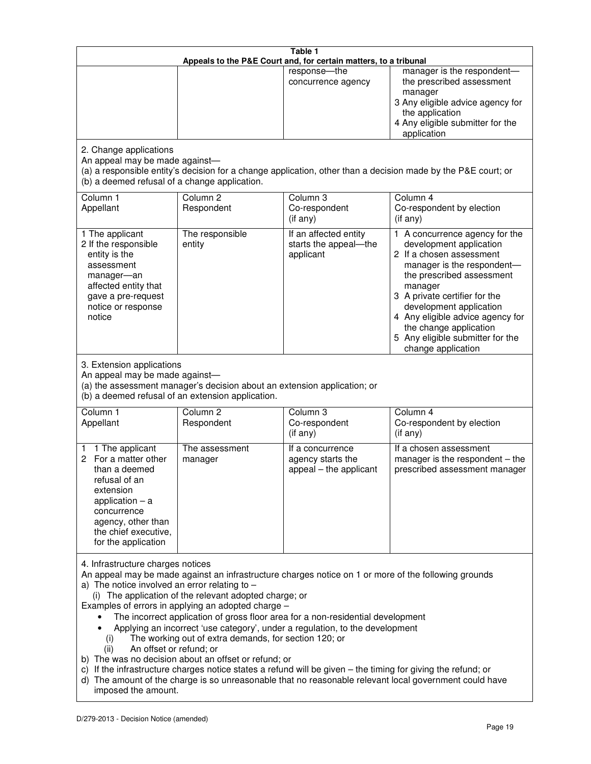| Table 1<br>Appeals to the P&E Court and, for certain matters, to a tribunal                                                                                                                                                                                                                                                                                                                                                                                                                                                                                                                                                                                                                                                                                                                                                                                                                 |                                                                                                                                                                                              |                                                                 |                                                                                                                                                                                                                                                                                                                                                 |  |  |
|---------------------------------------------------------------------------------------------------------------------------------------------------------------------------------------------------------------------------------------------------------------------------------------------------------------------------------------------------------------------------------------------------------------------------------------------------------------------------------------------------------------------------------------------------------------------------------------------------------------------------------------------------------------------------------------------------------------------------------------------------------------------------------------------------------------------------------------------------------------------------------------------|----------------------------------------------------------------------------------------------------------------------------------------------------------------------------------------------|-----------------------------------------------------------------|-------------------------------------------------------------------------------------------------------------------------------------------------------------------------------------------------------------------------------------------------------------------------------------------------------------------------------------------------|--|--|
|                                                                                                                                                                                                                                                                                                                                                                                                                                                                                                                                                                                                                                                                                                                                                                                                                                                                                             |                                                                                                                                                                                              | response-the<br>concurrence agency                              | manager is the respondent-<br>the prescribed assessment<br>manager<br>3 Any eligible advice agency for<br>the application<br>4 Any eligible submitter for the<br>application                                                                                                                                                                    |  |  |
| 2. Change applications<br>An appeal may be made against-<br>(b) a deemed refusal of a change application.                                                                                                                                                                                                                                                                                                                                                                                                                                                                                                                                                                                                                                                                                                                                                                                   |                                                                                                                                                                                              |                                                                 | (a) a responsible entity's decision for a change application, other than a decision made by the P&E court; or                                                                                                                                                                                                                                   |  |  |
| Column 1<br>Appellant                                                                                                                                                                                                                                                                                                                                                                                                                                                                                                                                                                                                                                                                                                                                                                                                                                                                       | Column <sub>2</sub><br>Respondent                                                                                                                                                            | Column 3<br>Co-respondent<br>(if any)                           | Column 4<br>Co-respondent by election<br>(if any)                                                                                                                                                                                                                                                                                               |  |  |
| 1 The applicant<br>2 If the responsible<br>entity is the<br>assessment<br>manager-an<br>affected entity that<br>gave a pre-request<br>notice or response<br>notice                                                                                                                                                                                                                                                                                                                                                                                                                                                                                                                                                                                                                                                                                                                          | The responsible<br>entity                                                                                                                                                                    | If an affected entity<br>starts the appeal-the<br>applicant     | 1 A concurrence agency for the<br>development application<br>2 If a chosen assessment<br>manager is the respondent-<br>the prescribed assessment<br>manager<br>3 A private certifier for the<br>development application<br>4 Any eligible advice agency for<br>the change application<br>5 Any eligible submitter for the<br>change application |  |  |
|                                                                                                                                                                                                                                                                                                                                                                                                                                                                                                                                                                                                                                                                                                                                                                                                                                                                                             | 3. Extension applications<br>An appeal may be made against-<br>(a) the assessment manager's decision about an extension application; or<br>(b) a deemed refusal of an extension application. |                                                                 |                                                                                                                                                                                                                                                                                                                                                 |  |  |
| Column 1<br>Appellant                                                                                                                                                                                                                                                                                                                                                                                                                                                                                                                                                                                                                                                                                                                                                                                                                                                                       | Column <sub>2</sub><br>Respondent                                                                                                                                                            | Column 3<br>Co-respondent<br>(if any)                           | Column 4<br>Co-respondent by election<br>(if any)                                                                                                                                                                                                                                                                                               |  |  |
| 1 The applicant<br>1.<br>For a matter other<br>2<br>than a deemed<br>refusal of an<br>extension<br>application $-$ a<br>concurrence<br>agency, other than<br>the chief executive,<br>for the application                                                                                                                                                                                                                                                                                                                                                                                                                                                                                                                                                                                                                                                                                    | The assessment<br>manager                                                                                                                                                                    | If a concurrence<br>agency starts the<br>appeal - the applicant | If a chosen assessment<br>manager is the respondent - the<br>prescribed assessment manager                                                                                                                                                                                                                                                      |  |  |
| 4. Infrastructure charges notices<br>An appeal may be made against an infrastructure charges notice on 1 or more of the following grounds<br>a) The notice involved an error relating to $-$<br>(i) The application of the relevant adopted charge; or<br>Examples of errors in applying an adopted charge -<br>The incorrect application of gross floor area for a non-residential development<br>Applying an incorrect 'use category', under a regulation, to the development<br>The working out of extra demands, for section 120; or<br>(i)<br>An offset or refund; or<br>(ii)<br>b) The was no decision about an offset or refund; or<br>c) If the infrastructure charges notice states a refund will be given - the timing for giving the refund; or<br>d) The amount of the charge is so unreasonable that no reasonable relevant local government could have<br>imposed the amount. |                                                                                                                                                                                              |                                                                 |                                                                                                                                                                                                                                                                                                                                                 |  |  |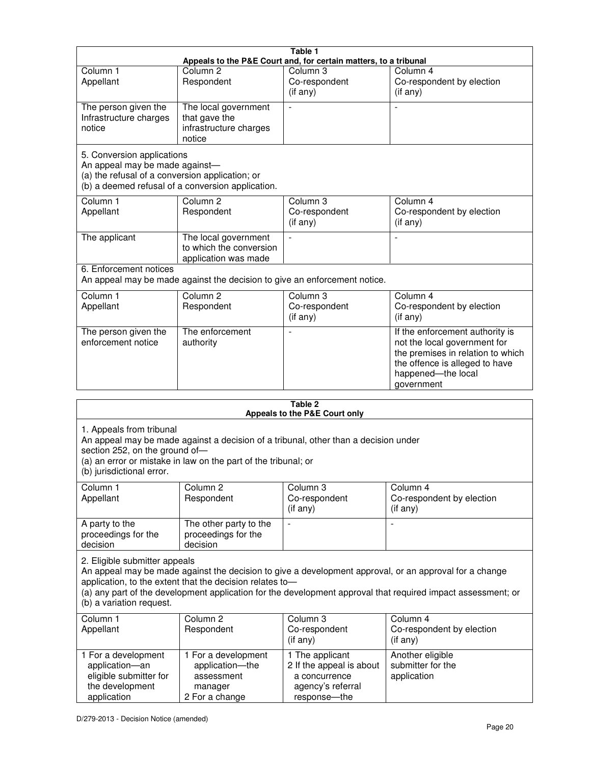|                                                                                                                 |                                                                                                                                                       | Table 1<br>Appeals to the P&E Court and, for certain matters, to a tribunal                       |                                                                                                                                                                                                                        |
|-----------------------------------------------------------------------------------------------------------------|-------------------------------------------------------------------------------------------------------------------------------------------------------|---------------------------------------------------------------------------------------------------|------------------------------------------------------------------------------------------------------------------------------------------------------------------------------------------------------------------------|
| Column <sub>1</sub><br>Appellant                                                                                | Column <sub>2</sub><br>Respondent                                                                                                                     | Column <sub>3</sub><br>Co-respondent<br>(if any)                                                  | Column 4<br>Co-respondent by election<br>(if any)                                                                                                                                                                      |
| The person given the<br>Infrastructure charges<br>notice                                                        | The local government<br>that gave the<br>infrastructure charges<br>notice                                                                             |                                                                                                   |                                                                                                                                                                                                                        |
| 5. Conversion applications<br>An appeal may be made against-<br>(a) the refusal of a conversion application; or | (b) a deemed refusal of a conversion application.                                                                                                     |                                                                                                   |                                                                                                                                                                                                                        |
| Column 1<br>Appellant                                                                                           | Column <sub>2</sub><br>Respondent                                                                                                                     | Column 3<br>Co-respondent<br>(if any)                                                             | Column 4<br>Co-respondent by election<br>(if any)                                                                                                                                                                      |
| The applicant                                                                                                   | The local government<br>to which the conversion<br>application was made                                                                               |                                                                                                   | $\overline{a}$                                                                                                                                                                                                         |
| 6. Enforcement notices                                                                                          | An appeal may be made against the decision to give an enforcement notice.                                                                             |                                                                                                   |                                                                                                                                                                                                                        |
| Column 1<br>Appellant                                                                                           | Column <sub>2</sub><br>Respondent                                                                                                                     | Column <sub>3</sub><br>Co-respondent<br>(if any)                                                  | Column 4<br>Co-respondent by election<br>(if any)                                                                                                                                                                      |
| The person given the<br>enforcement notice                                                                      | The enforcement<br>authority                                                                                                                          |                                                                                                   | If the enforcement authority is<br>not the local government for<br>the premises in relation to which<br>the offence is alleged to have<br>happened-the local<br>government                                             |
|                                                                                                                 |                                                                                                                                                       | Table 2                                                                                           |                                                                                                                                                                                                                        |
|                                                                                                                 |                                                                                                                                                       | Appeals to the P&E Court only                                                                     |                                                                                                                                                                                                                        |
| 1. Appeals from tribunal<br>section 252, on the ground of-<br>(b) jurisdictional error.                         | An appeal may be made against a decision of a tribunal, other than a decision under<br>(a) an error or mistake in law on the part of the tribunal; or |                                                                                                   |                                                                                                                                                                                                                        |
| Column 1<br>Appellant                                                                                           | Column <sub>2</sub><br>Respondent                                                                                                                     | Column 3<br>Co-respondent<br>(if any)                                                             | Column 4<br>Co-respondent by election<br>(if any)                                                                                                                                                                      |
| A party to the<br>proceedings for the<br>decision                                                               | The other party to the<br>proceedings for the<br>decision                                                                                             |                                                                                                   |                                                                                                                                                                                                                        |
| 2. Eligible submitter appeals<br>(b) a variation request.                                                       | application, to the extent that the decision relates to-                                                                                              |                                                                                                   | An appeal may be made against the decision to give a development approval, or an approval for a change<br>(a) any part of the development application for the development approval that required impact assessment; or |
| Column 1<br>Appellant                                                                                           | Column 2<br>Respondent                                                                                                                                | Column 3<br>Co-respondent<br>(if any)                                                             | Column 4<br>Co-respondent by election<br>(if any)                                                                                                                                                                      |
| 1 For a development<br>application-an<br>eligible submitter for<br>the development<br>application               | 1 For a development<br>application-the<br>assessment<br>manager<br>2 For a change                                                                     | 1 The applicant<br>2 If the appeal is about<br>a concurrence<br>agency's referral<br>response-the | Another eligible<br>submitter for the<br>application                                                                                                                                                                   |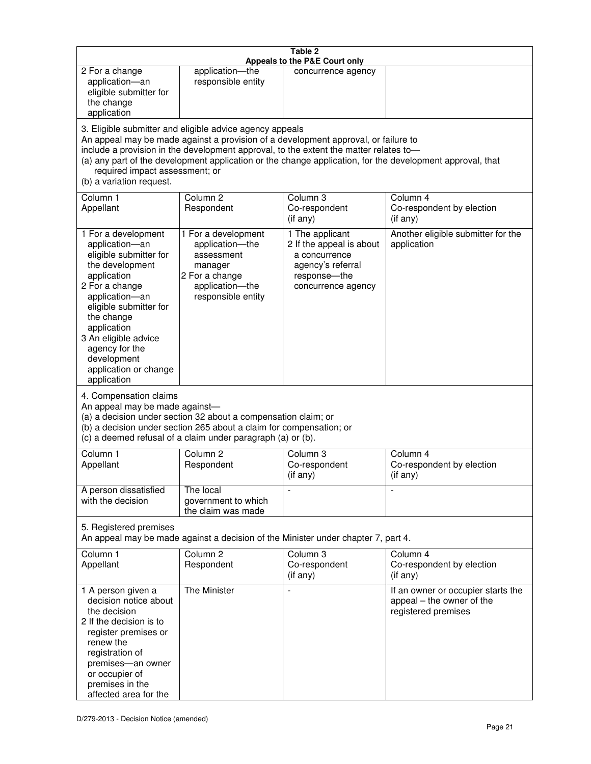| Table 2<br>Appeals to the P&E Court only                                                                                                                                                                                                                                                                                                                                                                           |                                                                                                                            |                                                                                                                         |                                                                                        |  |
|--------------------------------------------------------------------------------------------------------------------------------------------------------------------------------------------------------------------------------------------------------------------------------------------------------------------------------------------------------------------------------------------------------------------|----------------------------------------------------------------------------------------------------------------------------|-------------------------------------------------------------------------------------------------------------------------|----------------------------------------------------------------------------------------|--|
| 2 For a change<br>application-an<br>eligible submitter for<br>the change<br>application                                                                                                                                                                                                                                                                                                                            | application-the<br>responsible entity                                                                                      | concurrence agency                                                                                                      |                                                                                        |  |
| 3. Eligible submitter and eligible advice agency appeals<br>An appeal may be made against a provision of a development approval, or failure to<br>include a provision in the development approval, to the extent the matter relates to-<br>(a) any part of the development application or the change application, for the development approval, that<br>required impact assessment; or<br>(b) a variation request. |                                                                                                                            |                                                                                                                         |                                                                                        |  |
| Column 1<br>Appellant                                                                                                                                                                                                                                                                                                                                                                                              | Column <sub>2</sub><br>Respondent                                                                                          | Column 3<br>Co-respondent<br>(if any)                                                                                   | Column 4<br>Co-respondent by election<br>(if any)                                      |  |
| 1 For a development<br>application-an<br>eligible submitter for<br>the development<br>application<br>2 For a change<br>application-an<br>eligible submitter for<br>the change<br>application<br>3 An eligible advice<br>agency for the<br>development<br>application or change<br>application                                                                                                                      | 1 For a development<br>application-the<br>assessment<br>manager<br>2 For a change<br>application-the<br>responsible entity | 1 The applicant<br>2 If the appeal is about<br>a concurrence<br>agency's referral<br>response-the<br>concurrence agency | Another eligible submitter for the<br>application                                      |  |
| 4. Compensation claims<br>An appeal may be made against-<br>(a) a decision under section 32 about a compensation claim; or<br>(b) a decision under section 265 about a claim for compensation; or<br>(c) a deemed refusal of a claim under paragraph (a) or (b).                                                                                                                                                   |                                                                                                                            |                                                                                                                         |                                                                                        |  |
| Column 1<br>Appellant                                                                                                                                                                                                                                                                                                                                                                                              | Column <sub>2</sub><br>Respondent                                                                                          | Column 3<br>Co-respondent<br>(if any)                                                                                   | Column 4<br>Co-respondent by election<br>(if any)                                      |  |
| A person dissatisfied<br>with the decision                                                                                                                                                                                                                                                                                                                                                                         | The local<br>government to which<br>the claim was made                                                                     |                                                                                                                         |                                                                                        |  |
| 5. Registered premises<br>An appeal may be made against a decision of the Minister under chapter 7, part 4.                                                                                                                                                                                                                                                                                                        |                                                                                                                            |                                                                                                                         |                                                                                        |  |
| Column 1<br>Appellant                                                                                                                                                                                                                                                                                                                                                                                              | Column <sub>2</sub><br>Respondent                                                                                          | Column 3<br>Co-respondent<br>(if any)                                                                                   | Column 4<br>Co-respondent by election<br>(if any)                                      |  |
| 1 A person given a<br>decision notice about<br>the decision<br>2 If the decision is to<br>register premises or<br>renew the<br>registration of<br>premises-an owner<br>or occupier of<br>premises in the<br>affected area for the                                                                                                                                                                                  | The Minister                                                                                                               |                                                                                                                         | If an owner or occupier starts the<br>appeal – the owner of the<br>registered premises |  |